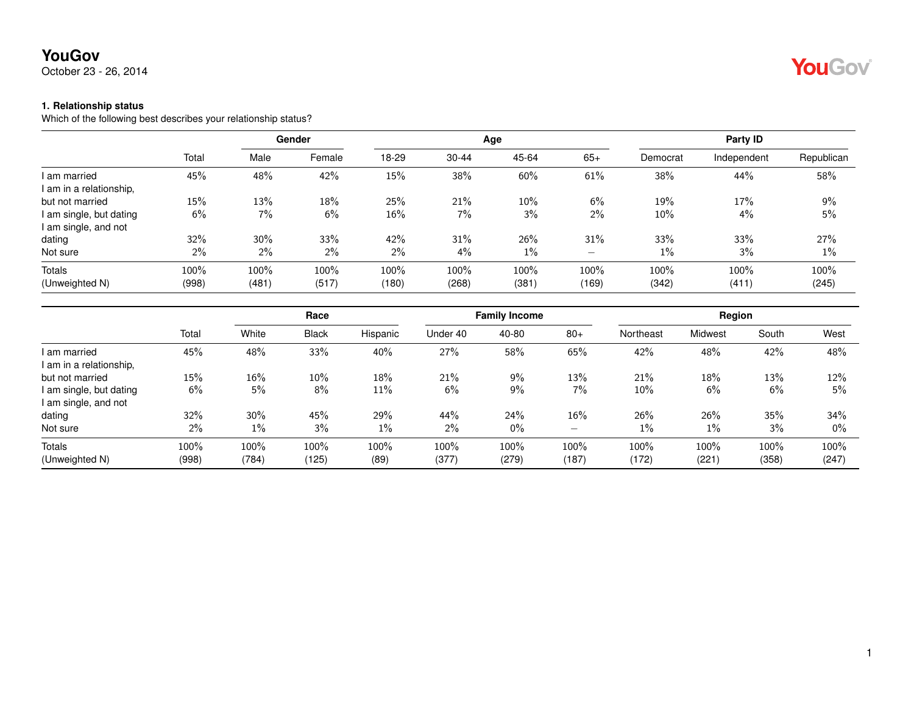October 23 - 26, 2014

#### **1. Relationship status**

Which of the following best describes your relationship status?

|                         |       |       | Gender |        |       | Age   |       | Party ID |             |            |
|-------------------------|-------|-------|--------|--------|-------|-------|-------|----------|-------------|------------|
|                         | Total | Male  | Female | 18-29  | 30-44 | 45-64 | $65+$ | Democrat | Independent | Republican |
| am married              | 45%   | 48%   | 42%    | 15%    | 38%   | 60%   | 61%   | 38%      | 44%         | 58%        |
| I am in a relationship, |       |       |        |        |       |       |       |          |             |            |
| but not married         | 15%   | 13%   | 18%    | 25%    | 21%   | 10%   | 6%    | 19%      | 17%         | 9%         |
| I am single, but dating | 6%    | 7%    | 6%     | $16\%$ | 7%    | 3%    | $2\%$ | $10\%$   | 4%          | 5%         |
| I am single, and not    |       |       |        |        |       |       |       |          |             |            |
| dating                  | 32%   | 30%   | 33%    | 42%    | 31%   | 26%   | 31%   | 33%      | 33%         | 27%        |
| Not sure                | 2%    | $2\%$ | $2\%$  | $2\%$  | $4\%$ | $1\%$ |       | $1\%$    | 3%          | 1%         |
| <b>Totals</b>           | 100%  | 100%  | 100%   | 100%   | 100%  | 100%  | 100%  | 100%     | 100%        | 100%       |
| (Unweighted N)          | (998) | (481) | (517)  | (180)  | (268) | (381) | (169) | (342)    | (411)       | (245)      |

|                         |       |        | Race         |          |          | <b>Family Income</b> |                          | Region    |         |       |       |  |
|-------------------------|-------|--------|--------------|----------|----------|----------------------|--------------------------|-----------|---------|-------|-------|--|
|                         | Total | White  | <b>Black</b> | Hispanic | Under 40 | 40-80                | $80+$                    | Northeast | Midwest | South | West  |  |
| I am married            | 45%   | 48%    | 33%          | 40%      | 27%      | 58%                  | 65%                      | 42%       | 48%     | 42%   | 48%   |  |
| l am in a relationship, |       |        |              |          |          |                      |                          |           |         |       |       |  |
| but not married         | 15%   | $16\%$ | 10%          | 18%      | 21%      | 9%                   | 13%                      | 21%       | 18%     | 13%   | 12%   |  |
| i am single, but dating | 6%    | 5%     | 8%           | 11%      | 6%       | 9%                   | 7%                       | $10\%$    | 6%      | 6%    | 5%    |  |
| I am single, and not    |       |        |              |          |          |                      |                          |           |         |       |       |  |
| dating                  | 32%   | 30%    | 45%          | 29%      | 44%      | 24%                  | 16%                      | 26%       | 26%     | 35%   | 34%   |  |
| Not sure                | 2%    | $1\%$  | 3%           | $1\%$    | 2%       | 0%                   | $\overline{\phantom{0}}$ | $1\%$     | $1\%$   | 3%    | $0\%$ |  |
| <b>Totals</b>           | 100%  | 100%   | 100%         | 100%     | 100%     | 100%                 | 100%                     | 100%      | 100%    | 100%  | 100%  |  |
| (Unweighted N)          | (998) | (784)  | (125)        | (89)     | (377)    | (279)                | (187)                    | (172)     | (221)   | (358) | (247) |  |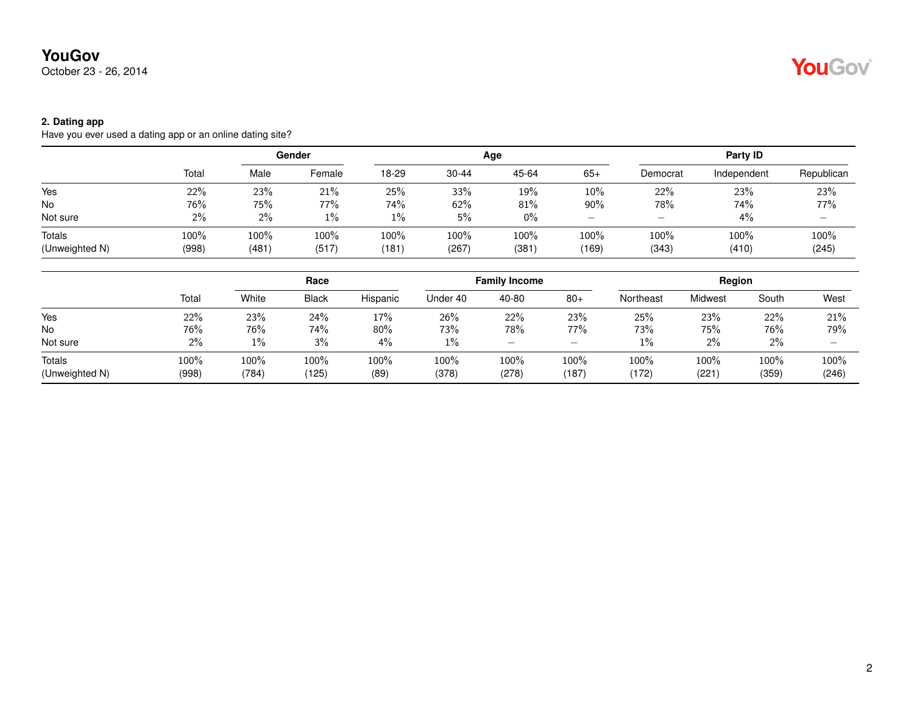October 23 - 26, 2014

#### **2. Dating app**

Have you ever used a dating app or an online dating site?

|                |       | Gender |        |       |           | Age   | Party ID |                          |             |                   |
|----------------|-------|--------|--------|-------|-----------|-------|----------|--------------------------|-------------|-------------------|
|                | Total | Male   | Female | 18-29 | $30 - 44$ | 45-64 | $65+$    | Democrat                 | Independent | Republican        |
| Yes            | 22%   | 23%    | 21%    | 25%   | 33%       | 19%   | 10%      | 22%                      | 23%         | 23%               |
| No             | 76%   | 75%    | 77%    | 74%   | 62%       | 81%   | 90%      | 78%                      | 74%         | 77%               |
| Not sure       | 2%    | $2\%$  | $1\%$  | $1\%$ | 5%        | $0\%$ |          | $\overline{\phantom{0}}$ | 4%          | $\qquad \qquad -$ |
| Totals         | 100%  | 100%   | 100%   | 100%  | 100%      | 100%  | 100%     | 100%                     | 100%        | 100%              |
| (Unweighted N) | (998) | (481)  | (517)  | (181) | (267)     | (381  | (169)    | (343)                    | (410)       | (245)             |

|                          | Race          |               |               |              | <b>Family Income</b> |               |                          | Region        |               |               |               |
|--------------------------|---------------|---------------|---------------|--------------|----------------------|---------------|--------------------------|---------------|---------------|---------------|---------------|
|                          | Total         | White         | <b>Black</b>  | Hispanic     | Under 40             | 40-80         | $80+$                    | Northeast     | Midwest       | South         | West          |
| Yes                      | 22%           | 23%           | 24%           | 17%          | 26%                  | 22%           | 23%                      | 25%           | 23%           | 22%           | 21%           |
| No                       | 76%           | 76%           | 74%           | 80%          | 73%                  | 78%           | 77%                      | 73%           | 75%           | 76%           | 79%           |
| Not sure                 | 2%            | $1\%$         | 3%            | 4%           | 1%                   | –             | $\overline{\phantom{0}}$ | 1%            | $2\%$         | 2%            |               |
| Totals<br>(Unweighted N) | 100%<br>(998) | 100%<br>(784) | 100%<br>(125) | 100%<br>(89) | 100%<br>(378)        | 100%<br>(278) | 100%<br>(187)            | 100%<br>(172) | 100%<br>(221) | 100%<br>(359) | 100%<br>(246) |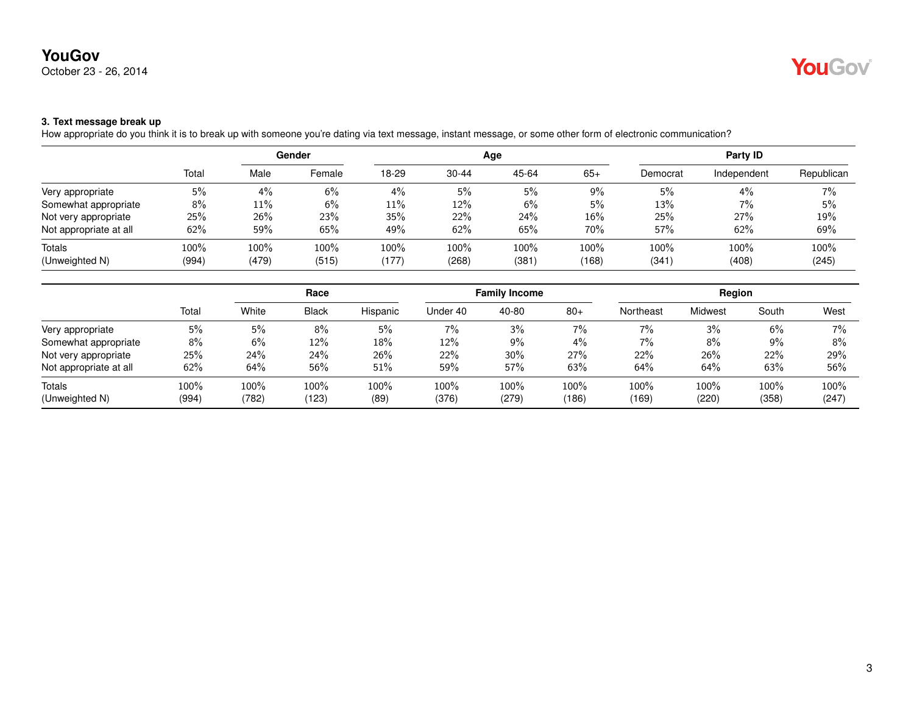October 23 - 26, 2014

# YouGov®

### **3. Text message break up**

How appropriate do you think it is to break up with someone you're dating via text message, instant message, or some other form of electronic communication?

|                        |       | Gender |        |       |           | Age   | Party ID |          |             |            |
|------------------------|-------|--------|--------|-------|-----------|-------|----------|----------|-------------|------------|
|                        | Total | Male   | Female | 18-29 | $30 - 44$ | 45-64 | $65+$    | Democrat | Independent | Republican |
| Very appropriate       | 5%    | 4%     | 6%     | 4%    | 5%        | 5%    | $9\%$    | 5%       | 4%          | 7%         |
| Somewhat appropriate   | 8%    | 11%    | 6%     | 11%   | 12%       | 6%    | 5%       | 13%      | 7%          | 5%         |
| Not very appropriate   | 25%   | 26%    | 23%    | 35%   | 22%       | 24%   | 16%      | 25%      | 27%         | 19%        |
| Not appropriate at all | 62%   | 59%    | 65%    | 49%   | 62%       | 65%   | 70%      | 57%      | 62%         | 69%        |
| Totals                 | 100%  | 100%   | 100%   | 100%  | 100%      | 100%  | 100%     | 100%     | 100%        | 100%       |
| (Unweighted N)         | (994) | (479)  | (515)  | (177) | (268)     | (381) | (168)    | (341)    | (408)       | (245)      |

|                        |       |       | Race         |          |          | <b>Family Income</b> |       |           | Region  |       |       |  |
|------------------------|-------|-------|--------------|----------|----------|----------------------|-------|-----------|---------|-------|-------|--|
|                        | Total | White | <b>Black</b> | Hispanic | Under 40 | 40-80                | $80+$ | Northeast | Midwest | South | West  |  |
| Very appropriate       | 5%    | 5%    | 8%           | 5%       | 7%       | 3%                   | 7%    | 7%        | 3%      | 6%    | 7%    |  |
| Somewhat appropriate   | 8%    | 6%    | 12%          | 18%      | 12%      | $9\%$                | $4\%$ | 7%        | 8%      | 9%    | 8%    |  |
| Not very appropriate   | 25%   | 24%   | 24%          | 26%      | 22%      | 30%                  | 27%   | 22%       | 26%     | 22%   | 29%   |  |
| Not appropriate at all | 62%   | 64%   | 56%          | 51%      | 59%      | 57%                  | 63%   | 64%       | 64%     | 63%   | 56%   |  |
| Totals                 | 100%  | 100%  | 100%         | 100%     | 100%     | 100%                 | 100%  | 100%      | 100%    | 100%  | 100%  |  |
| (Unweighted N)         | (994) | (782) | (123)        | (89)     | (376)    | (279)                | (186) | (169)     | (220)   | (358) | (247) |  |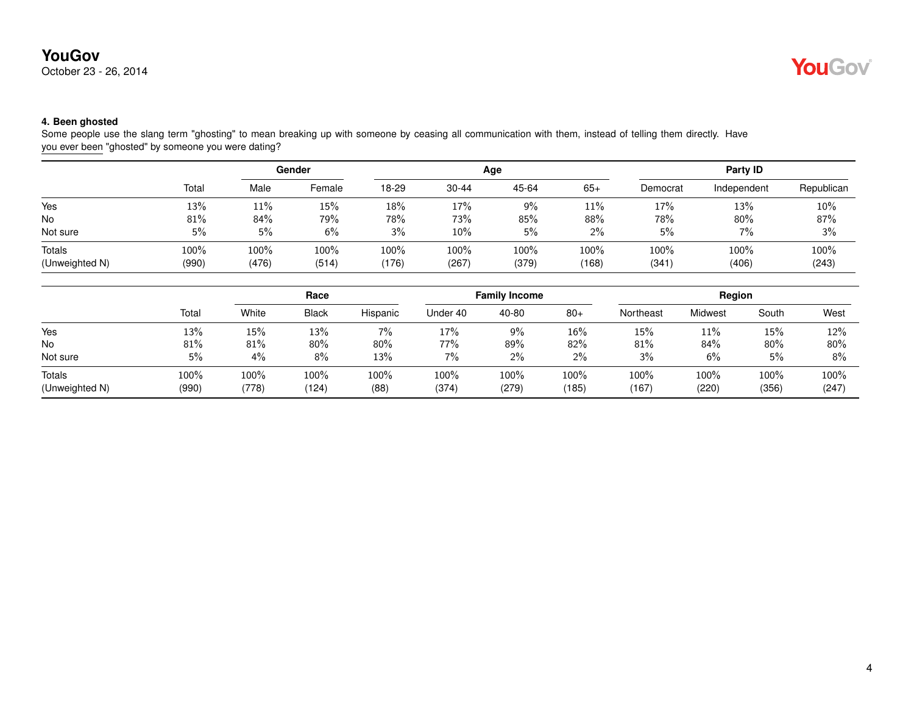October 23 - 26, 2014



### **4. Been ghosted**

Some people use the slang term "ghosting" to mean breaking up with someone by ceasing all communication with them, instead of telling them directly. Have you ever been "ghosted" by someone you were dating?

|                          |               | Gender        |               |               |               | Age           | Party ID      |               |               |               |
|--------------------------|---------------|---------------|---------------|---------------|---------------|---------------|---------------|---------------|---------------|---------------|
|                          | Total         | Male          | Female        | 18-29         | $30 - 44$     | 45-64         | $65+$         | Democrat      | Independent   | Republican    |
| Yes                      | 13%           | 11%           | 15%           | 18%           | 17%           | 9%            | 11%           | 17%           | 13%           | 10%           |
| <b>No</b>                | 81%           | $84\%$        | 79%           | 78%           | 73%           | 85%           | 88%           | 78%           | 80%           | 87%           |
| Not sure                 | 5%            | 5%            | 6%            | 3%            | 10%           | 5%            | $2\%$         | 5%            | 7%            | 3%            |
| Totals<br>(Unweighted N) | 100%<br>(990) | 100%<br>(476) | 100%<br>(514) | 100%<br>(176) | 100%<br>(267) | 100%<br>(379) | 100%<br>(168) | 100%<br>(341) | 100%<br>(406) | 100%<br>(243) |

|                          |               | Race             |                  |                 |               | <b>Family Income</b> |               | Region        |               |               |               |
|--------------------------|---------------|------------------|------------------|-----------------|---------------|----------------------|---------------|---------------|---------------|---------------|---------------|
|                          | Total         | White            | <b>Black</b>     | Hispanic        | Under 40      | 40-80                | $80+$         | Northeast     | Midwest       | South         | West          |
| Yes                      | 13%           | 15%              | 13%              | 7%              | 17%           | 9%                   | 16%           | 15%           | 11%           | 15%           | 12%           |
| No                       | 81%           | 81%              | 80%              | 80%             | 77%           | 89%                  | 82%           | 81%           | 84%           | 80%           | 80%           |
| Not sure                 | 5%            | 4%               | 8%               | 13%             | 7%            | $2\%$                | 2%            | 3%            | 6%            | 5%            | $8\%$         |
| Totals<br>(Unweighted N) | 100%<br>(990) | $100\%$<br>(778) | $100\%$<br>(124) | $100\%$<br>(88) | 100%<br>(374) | $100\%$<br>(279)     | 100%<br>(185) | 100%<br>(167) | 100%<br>(220) | 100%<br>(356) | 100%<br>(247) |